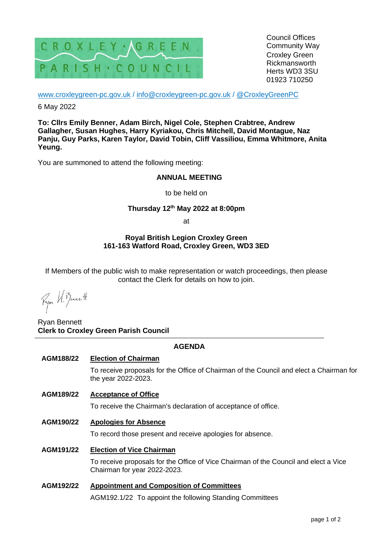

Council Offices Community Way Croxley Green Rickmansworth Herts WD3 3SU 01923 710250

[www.croxleygreen-pc.gov.uk](http://www.croxleygreen-pc.gov.uk/) / [info@croxleygreen-pc.gov.uk](mailto:info@croxleygreen-pc.gov.uk) / [@CroxleyGreenPC](https://twitter.com/CroxleyGreenPC)

6 May 2022

**To: Cllrs Emily Benner, Adam Birch, Nigel Cole, Stephen Crabtree, Andrew Gallagher, Susan Hughes, Harry Kyriakou, Chris Mitchell, David Montague, Naz Panju, Guy Parks, Karen Taylor, David Tobin, Cliff Vassiliou, Emma Whitmore, Anita Yeung.**

You are summoned to attend the following meeting:

## **ANNUAL MEETING**

to be held on

# **Thursday 12 th May 2022 at 8:00pm**

at

## **Royal British Legion Croxley Green 161-163 Watford Road, Croxley Green, WD3 3ED**

If Members of the public wish to make representation or watch proceedings, then please contact the Clerk for details on how to join.

Ryon U. Benett

Ryan Bennett **Clerk to Croxley Green Parish Council**

# **AGENDA**

### **AGM188/22 Election of Chairman**

To receive proposals for the Office of Chairman of the Council and elect a Chairman for the year 2022-2023.

### **AGM189/22 Acceptance of Office**

To receive the Chairman's declaration of acceptance of office.

**AGM190/22 Apologies for Absence**

To record those present and receive apologies for absence.

### **AGM191/22 Election of Vice Chairman**

To receive proposals for the Office of Vice Chairman of the Council and elect a Vice Chairman for year 2022-2023.

# **AGM192/22 Appointment and Composition of Committees**

AGM192.1/22 To appoint the following Standing Committees